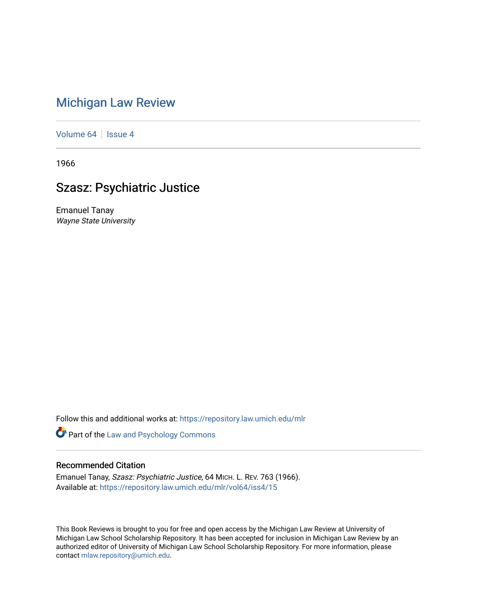## [Michigan Law Review](https://repository.law.umich.edu/mlr)

[Volume 64](https://repository.law.umich.edu/mlr/vol64) | [Issue 4](https://repository.law.umich.edu/mlr/vol64/iss4)

1966

## Szasz: Psychiatric Justice

Emanuel Tanay Wayne State University

Follow this and additional works at: [https://repository.law.umich.edu/mlr](https://repository.law.umich.edu/mlr?utm_source=repository.law.umich.edu%2Fmlr%2Fvol64%2Fiss4%2F15&utm_medium=PDF&utm_campaign=PDFCoverPages) 

**Part of the Law and Psychology Commons** 

## Recommended Citation

Emanuel Tanay, Szasz: Psychiatric Justice, 64 MICH. L. REV. 763 (1966). Available at: [https://repository.law.umich.edu/mlr/vol64/iss4/15](https://repository.law.umich.edu/mlr/vol64/iss4/15?utm_source=repository.law.umich.edu%2Fmlr%2Fvol64%2Fiss4%2F15&utm_medium=PDF&utm_campaign=PDFCoverPages) 

This Book Reviews is brought to you for free and open access by the Michigan Law Review at University of Michigan Law School Scholarship Repository. It has been accepted for inclusion in Michigan Law Review by an authorized editor of University of Michigan Law School Scholarship Repository. For more information, please contact [mlaw.repository@umich.edu](mailto:mlaw.repository@umich.edu).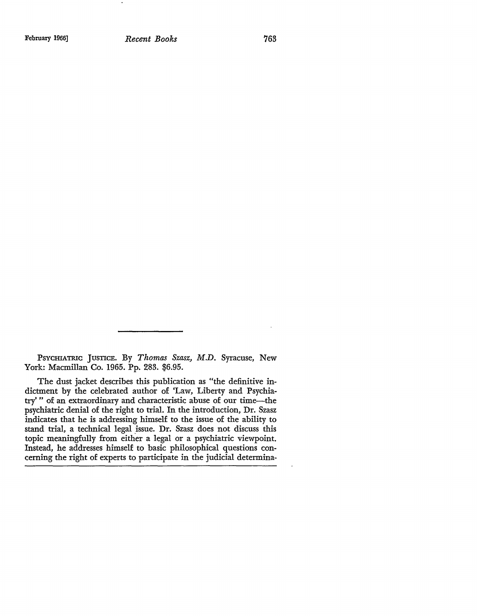February 1966] *Recent Books* 763

PSYCHIATRIC JUSTICE. By *Thomas Szasz, M.D.* Syracuse, New York: Macmillan Co. 1965. Pp. 283. \$6.95.

The dust jacket describes this publication as "the definitive indictment by the celebrated author of 'Law, Liberty and Psychiatry' " of an extraordinary and characteristic abuse of our time-the psychiatric denial of the right to trial. In the introduction, Dr. Szasz indicates that he is addressing himself to the issue of the ability to stand trial, a technical legal issue. Dr. Szasz does not discuss this topic meaningfully from either a legal or a psychiatric viewpoint. Instead, he addresses himself to basic philosophical questions concerning the right of experts to participate in the judicial determina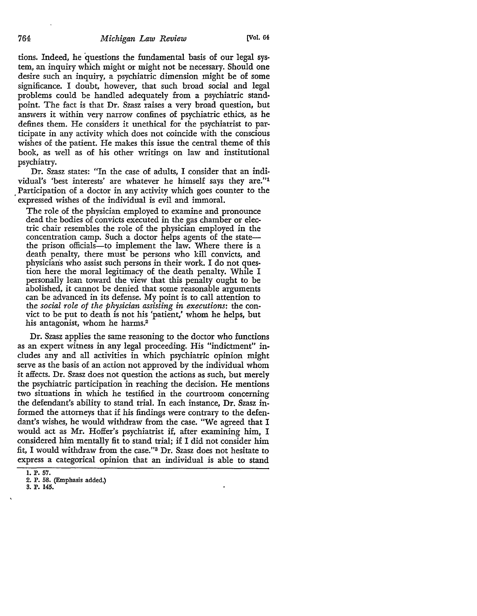tions. Indeed, he questions the fundamental basis of our legal system, an inquiry which might or might not be necessary. Should one desire such an inquiry, a psychiatric dimension might be of some significance. I doubt, however, that such broad social and legal problems could be handled adequately from a psychiatric standpoint. The fact is that Dr. Szasz raises a very broad question, but answers it within very narrow confines of psychiatric ethics, as he defines them. He considers it unethical for the psychiatrist to participate in any activity which does not coincide with the conscious wishes of the patient. He makes this issue the central theme of this book, as well as of his other writings on law and institutional psychiatry.

Dr. Szasz states: "In the case of adults, I consider that an individual's 'best interests' are whatever he himself says they are."1 Participation of a doctor in any activity which goes counter to the expressed wishes of the individual is evil and immoral.

The role of the physician employed to examine and pronounce dead the bodies of convicts executed in the gas chamber or electric chair resembles the role of the physician employed in the concentration camp. Such a doctor helps agents of the statethe prison officials-to implement the law. Where there is a death penalty, there must be persons who kill convicts, and physicians who assist such persons in their work. I do not question here the moral legitimacy of the death penalty. While I personally lean toward the view that this penalty ought to be abolished, it cannot be denied that some reasonable arguments can be advanced in its defense. My point is to call attention to the *social role of the physician assisting in executions:* the convict to be put to death is not his 'patient,' whom he helps, but his antagonist, whom he harms.<sup>2</sup>

Dr. Szasz applies the same reasoning to the doctor who functions as an expert witness in any legal proceeding. His "indictment" includes any and all activities in which psychiatric opinion might serve as the basis of an action not approved by the individual whom it affects. Dr. Szasz does not question the actions as such, but merely the psychiatric participation in reaching the decision. He mentions two situations in which he testified in the courtroom concerning the defendant's ability to stand trial. In each instance, Dr. Szasz informed the attorneys that if his findings were contrary to the defendant's wishes, he would withdraw from the case. "We agreed that I would act as Mr. Hoffer's psychiatrist if, after examining him, I considered him mentally fit to stand trial; if I did not consider him fit, I would withdraw from the case."8 Dr. Szasz does not hesitate to express a categorical opinion that an individual is able to stand

I. P. 57.

<sup>2.</sup> P. 58. (Emphasis added.)

<sup>3.</sup> P. 145.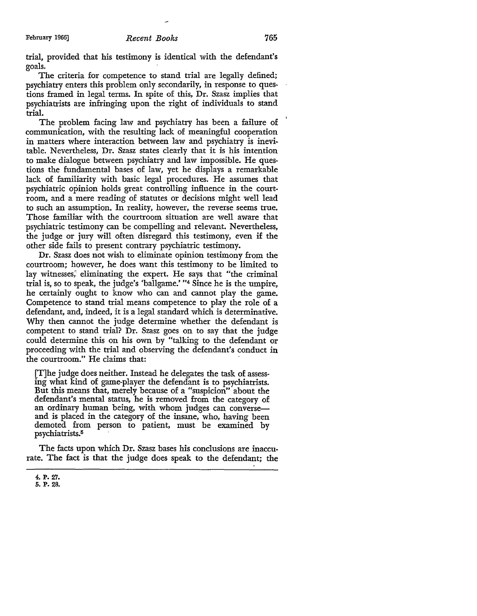trial, provided that his testimony is identical with the defendant's goals.

The criteria for competence to stand trial are legally defined; psychiatry enters this problem only secondarily, in response toquestions framed in legal terms. In spite of this, Dr. Szasz implies that psychiatrists are infringing upon the right of individuals to stand trial.

The problem facing law and psychiatry has been a failure of communication, with the resulting lack of meaningful cooperation in matters where interaction between law and psychiatry is inevitable. Nevertheless, Dr. Szasz states clearly that it is his intention to make dialogue between psychiatry and law impossible. He questions the fundamental bases of law, yet he displays a remarkable lack of familiarity with basic legal procedures. He assumes that psychiatric opinion holds great controlling influence in the courtroom, and a mere reading of statutes or decisions might well lead to such an assumption. In reality, however, the reverse seems true. Those familiar with the courtroom situation are well aware that psychiatric testimony can be compelling and relevant. Nevertheless, the judge or jury will often disregard this testimony, even if the other side fails to present contrary psychiatric testimony.

Dr. Szasz does not wish to eliminate opinion testimony from the courtroom; however, he does want this testimony to be limited to lay witnesses; eliminating the expert. He says that "the criminal trial is, so to speak, the judge's 'ballgame.' "<sup>4</sup> Since he is the umpire, he certainly ought to know who can and cannot play the game. Competence to stand trial means competence to play the role of a defendant, and, indeed, it is a legal standard which is determinative. Why then cannot the judge determine whether the defendant is competent to stand trial? Dr. Szasz goes on to say that the judge could determine this on his own by "talking to the defendant or proceeding with the trial and observing the defendant's conduct in the courtroom." He claims that:

[T]he judge does neither. Instead he delegates the task of assessing what kind of game-player the defendant is to psychiatrists. But this means that, merely because of a "suspicion" about the defendant's mental status, he is removed from the category of an ordinary human being, with whom judges can converseand is placed in the category of the insane, who, having been demoted from person to patient, must be examined by psychiatrists.5 ·

The facts upon which Dr. Szasz bases his conclusions are inaccurate. The fact is that the judge does speak to the defendant; the

<sup>4-.</sup> **P.** *2:1.* 

**<sup>5.</sup> P. 28.**